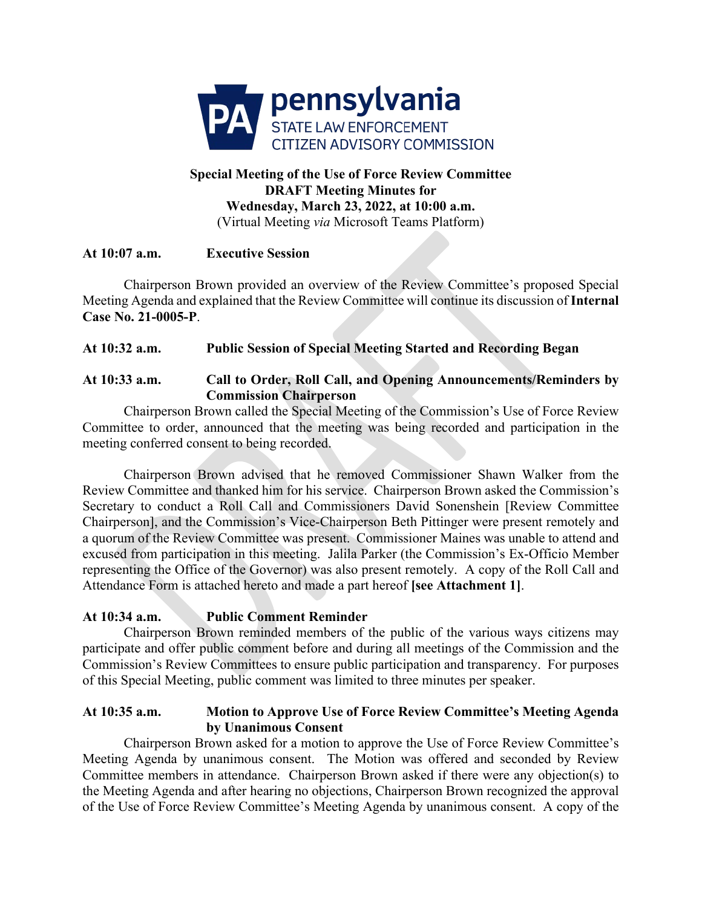

# **Special Meeting of the Use of Force Review Committee DRAFT Meeting Minutes for Wednesday, March 23, 2022, at 10:00 a.m.** (Virtual Meeting *via* Microsoft Teams Platform)

## **At 10:07 a.m. Executive Session**

Chairperson Brown provided an overview of the Review Committee's proposed Special Meeting Agenda and explained that the Review Committee will continue its discussion of **Internal Case No. 21-0005-P**.

## **At 10:32 a.m. Public Session of Special Meeting Started and Recording Began**

#### **At 10:33 a.m. Call to Order, Roll Call, and Opening Announcements/Reminders by Commission Chairperson**

Chairperson Brown called the Special Meeting of the Commission's Use of Force Review Committee to order, announced that the meeting was being recorded and participation in the meeting conferred consent to being recorded.

Chairperson Brown advised that he removed Commissioner Shawn Walker from the Review Committee and thanked him for his service. Chairperson Brown asked the Commission's Secretary to conduct a Roll Call and Commissioners David Sonenshein [Review Committee Chairperson], and the Commission's Vice-Chairperson Beth Pittinger were present remotely and a quorum of the Review Committee was present. Commissioner Maines was unable to attend and excused from participation in this meeting. Jalila Parker (the Commission's Ex-Officio Member representing the Office of the Governor) was also present remotely. A copy of the Roll Call and Attendance Form is attached hereto and made a part hereof **[see Attachment 1]**.

## **At 10:34 a.m. Public Comment Reminder**

Chairperson Brown reminded members of the public of the various ways citizens may participate and offer public comment before and during all meetings of the Commission and the Commission's Review Committees to ensure public participation and transparency. For purposes of this Special Meeting, public comment was limited to three minutes per speaker.

#### **At 10:35 a.m. Motion to Approve Use of Force Review Committee's Meeting Agenda by Unanimous Consent**

Chairperson Brown asked for a motion to approve the Use of Force Review Committee's Meeting Agenda by unanimous consent. The Motion was offered and seconded by Review Committee members in attendance. Chairperson Brown asked if there were any objection(s) to the Meeting Agenda and after hearing no objections, Chairperson Brown recognized the approval of the Use of Force Review Committee's Meeting Agenda by unanimous consent. A copy of the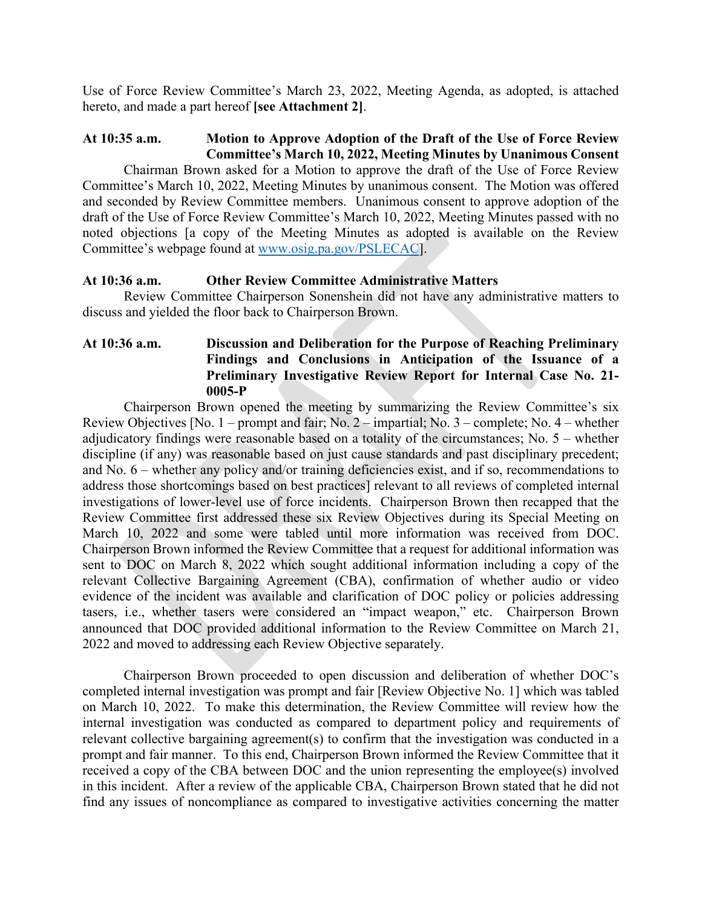Use of Force Review Committee's March 23, 2022, Meeting Agenda, as adopted, is attached hereto, and made a part hereof **[see Attachment 2]**.

#### **At 10:35 a.m. Motion to Approve Adoption of the Draft of the Use of Force Review Committee's March 10, 2022, Meeting Minutes by Unanimous Consent**

Chairman Brown asked for a Motion to approve the draft of the Use of Force Review Committee's March 10, 2022, Meeting Minutes by unanimous consent. The Motion was offered and seconded by Review Committee members. Unanimous consent to approve adoption of the draft of the Use of Force Review Committee's March 10, 2022, Meeting Minutes passed with no noted objections [a copy of the Meeting Minutes as adopted is available on the Review Committee's webpage found at [www.osig.pa.gov/PSLECAC\]](http://www.osig.pa.gov/PSLECAC).

#### **At 10:36 a.m. Other Review Committee Administrative Matters**

Review Committee Chairperson Sonenshein did not have any administrative matters to discuss and yielded the floor back to Chairperson Brown.

### **At 10:36 a.m. Discussion and Deliberation for the Purpose of Reaching Preliminary Findings and Conclusions in Anticipation of the Issuance of a Preliminary Investigative Review Report for Internal Case No. 21- 0005-P**

Chairperson Brown opened the meeting by summarizing the Review Committee's six Review Objectives [No. 1 – prompt and fair; No. 2 – impartial; No. 3 – complete; No. 4 – whether adjudicatory findings were reasonable based on a totality of the circumstances; No. 5 – whether discipline (if any) was reasonable based on just cause standards and past disciplinary precedent; and No. 6 – whether any policy and/or training deficiencies exist, and if so, recommendations to address those shortcomings based on best practices] relevant to all reviews of completed internal investigations of lower-level use of force incidents. Chairperson Brown then recapped that the Review Committee first addressed these six Review Objectives during its Special Meeting on March 10, 2022 and some were tabled until more information was received from DOC. Chairperson Brown informed the Review Committee that a request for additional information was sent to DOC on March 8, 2022 which sought additional information including a copy of the relevant Collective Bargaining Agreement (CBA), confirmation of whether audio or video evidence of the incident was available and clarification of DOC policy or policies addressing tasers, i.e., whether tasers were considered an "impact weapon," etc. Chairperson Brown announced that DOC provided additional information to the Review Committee on March 21, 2022 and moved to addressing each Review Objective separately.

Chairperson Brown proceeded to open discussion and deliberation of whether DOC's completed internal investigation was prompt and fair [Review Objective No. 1] which was tabled on March 10, 2022. To make this determination, the Review Committee will review how the internal investigation was conducted as compared to department policy and requirements of relevant collective bargaining agreement(s) to confirm that the investigation was conducted in a prompt and fair manner. To this end, Chairperson Brown informed the Review Committee that it received a copy of the CBA between DOC and the union representing the employee(s) involved in this incident. After a review of the applicable CBA, Chairperson Brown stated that he did not find any issues of noncompliance as compared to investigative activities concerning the matter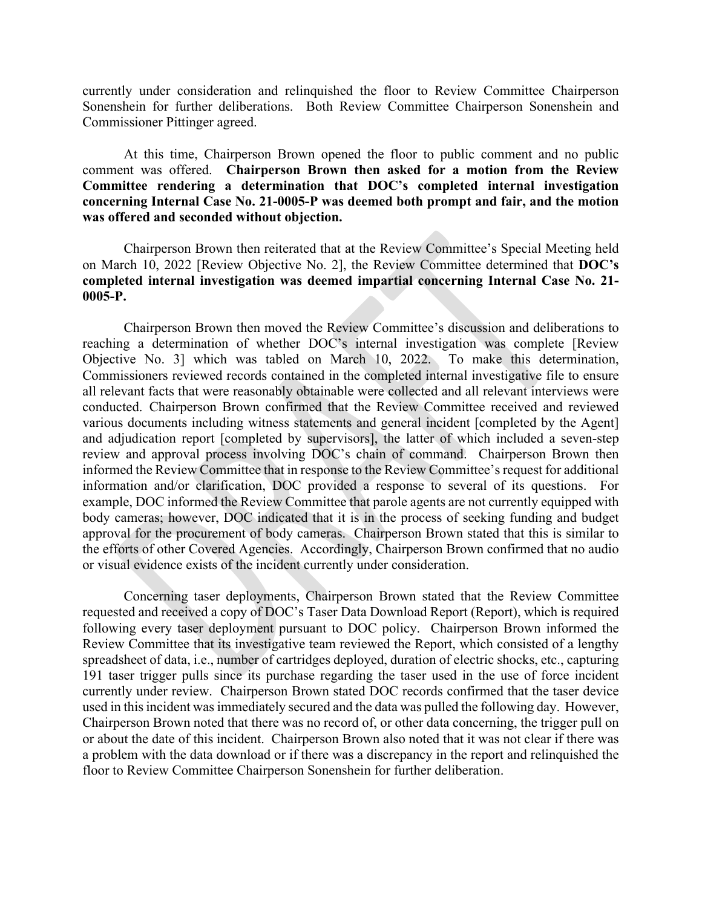currently under consideration and relinquished the floor to Review Committee Chairperson Sonenshein for further deliberations. Both Review Committee Chairperson Sonenshein and Commissioner Pittinger agreed.

At this time, Chairperson Brown opened the floor to public comment and no public comment was offered. **Chairperson Brown then asked for a motion from the Review Committee rendering a determination that DOC's completed internal investigation concerning Internal Case No. 21-0005-P was deemed both prompt and fair, and the motion was offered and seconded without objection.**

Chairperson Brown then reiterated that at the Review Committee's Special Meeting held on March 10, 2022 [Review Objective No. 2], the Review Committee determined that **DOC's completed internal investigation was deemed impartial concerning Internal Case No. 21- 0005-P.**

Chairperson Brown then moved the Review Committee's discussion and deliberations to reaching a determination of whether DOC's internal investigation was complete [Review Objective No. 3] which was tabled on March 10, 2022. To make this determination, Commissioners reviewed records contained in the completed internal investigative file to ensure all relevant facts that were reasonably obtainable were collected and all relevant interviews were conducted. Chairperson Brown confirmed that the Review Committee received and reviewed various documents including witness statements and general incident [completed by the Agent] and adjudication report [completed by supervisors], the latter of which included a seven-step review and approval process involving DOC's chain of command. Chairperson Brown then informed the Review Committee that in response to the Review Committee's request for additional information and/or clarification, DOC provided a response to several of its questions. For example, DOC informed the Review Committee that parole agents are not currently equipped with body cameras; however, DOC indicated that it is in the process of seeking funding and budget approval for the procurement of body cameras. Chairperson Brown stated that this is similar to the efforts of other Covered Agencies. Accordingly, Chairperson Brown confirmed that no audio or visual evidence exists of the incident currently under consideration.

Concerning taser deployments, Chairperson Brown stated that the Review Committee requested and received a copy of DOC's Taser Data Download Report (Report), which is required following every taser deployment pursuant to DOC policy. Chairperson Brown informed the Review Committee that its investigative team reviewed the Report, which consisted of a lengthy spreadsheet of data, i.e., number of cartridges deployed, duration of electric shocks, etc., capturing 191 taser trigger pulls since its purchase regarding the taser used in the use of force incident currently under review. Chairperson Brown stated DOC records confirmed that the taser device used in this incident was immediately secured and the data was pulled the following day. However, Chairperson Brown noted that there was no record of, or other data concerning, the trigger pull on or about the date of this incident. Chairperson Brown also noted that it was not clear if there was a problem with the data download or if there was a discrepancy in the report and relinquished the floor to Review Committee Chairperson Sonenshein for further deliberation.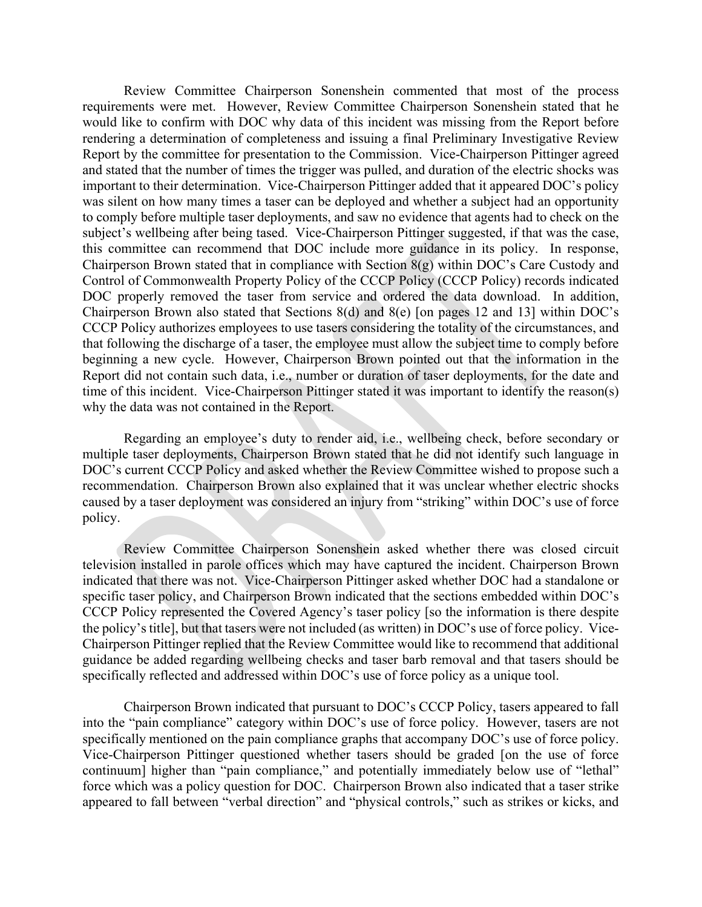Review Committee Chairperson Sonenshein commented that most of the process requirements were met. However, Review Committee Chairperson Sonenshein stated that he would like to confirm with DOC why data of this incident was missing from the Report before rendering a determination of completeness and issuing a final Preliminary Investigative Review Report by the committee for presentation to the Commission. Vice-Chairperson Pittinger agreed and stated that the number of times the trigger was pulled, and duration of the electric shocks was important to their determination. Vice-Chairperson Pittinger added that it appeared DOC's policy was silent on how many times a taser can be deployed and whether a subject had an opportunity to comply before multiple taser deployments, and saw no evidence that agents had to check on the subject's wellbeing after being tased. Vice-Chairperson Pittinger suggested, if that was the case, this committee can recommend that DOC include more guidance in its policy. In response, Chairperson Brown stated that in compliance with Section 8(g) within DOC's Care Custody and Control of Commonwealth Property Policy of the CCCP Policy (CCCP Policy) records indicated DOC properly removed the taser from service and ordered the data download. In addition, Chairperson Brown also stated that Sections 8(d) and 8(e) [on pages 12 and 13] within DOC's CCCP Policy authorizes employees to use tasers considering the totality of the circumstances, and that following the discharge of a taser, the employee must allow the subject time to comply before beginning a new cycle. However, Chairperson Brown pointed out that the information in the Report did not contain such data, i.e., number or duration of taser deployments, for the date and time of this incident. Vice-Chairperson Pittinger stated it was important to identify the reason(s) why the data was not contained in the Report.

Regarding an employee's duty to render aid, i.e., wellbeing check, before secondary or multiple taser deployments, Chairperson Brown stated that he did not identify such language in DOC's current CCCP Policy and asked whether the Review Committee wished to propose such a recommendation. Chairperson Brown also explained that it was unclear whether electric shocks caused by a taser deployment was considered an injury from "striking" within DOC's use of force policy.

Review Committee Chairperson Sonenshein asked whether there was closed circuit television installed in parole offices which may have captured the incident. Chairperson Brown indicated that there was not. Vice-Chairperson Pittinger asked whether DOC had a standalone or specific taser policy, and Chairperson Brown indicated that the sections embedded within DOC's CCCP Policy represented the Covered Agency's taser policy [so the information is there despite the policy's title], but that tasers were not included (as written) in DOC's use of force policy. Vice-Chairperson Pittinger replied that the Review Committee would like to recommend that additional guidance be added regarding wellbeing checks and taser barb removal and that tasers should be specifically reflected and addressed within DOC's use of force policy as a unique tool.

Chairperson Brown indicated that pursuant to DOC's CCCP Policy, tasers appeared to fall into the "pain compliance" category within DOC's use of force policy. However, tasers are not specifically mentioned on the pain compliance graphs that accompany DOC's use of force policy. Vice-Chairperson Pittinger questioned whether tasers should be graded [on the use of force continuum] higher than "pain compliance," and potentially immediately below use of "lethal" force which was a policy question for DOC. Chairperson Brown also indicated that a taser strike appeared to fall between "verbal direction" and "physical controls," such as strikes or kicks, and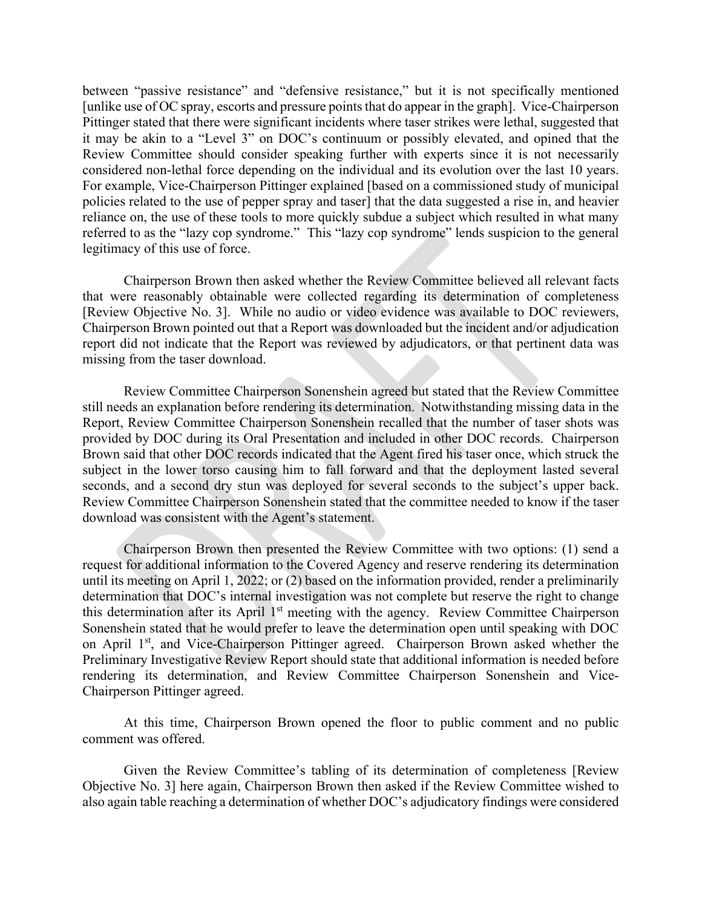between "passive resistance" and "defensive resistance," but it is not specifically mentioned [unlike use of OC spray, escorts and pressure points that do appear in the graph]. Vice-Chairperson Pittinger stated that there were significant incidents where taser strikes were lethal, suggested that it may be akin to a "Level 3" on DOC's continuum or possibly elevated, and opined that the Review Committee should consider speaking further with experts since it is not necessarily considered non-lethal force depending on the individual and its evolution over the last 10 years. For example, Vice-Chairperson Pittinger explained [based on a commissioned study of municipal policies related to the use of pepper spray and taser] that the data suggested a rise in, and heavier reliance on, the use of these tools to more quickly subdue a subject which resulted in what many referred to as the "lazy cop syndrome." This "lazy cop syndrome" lends suspicion to the general legitimacy of this use of force.

Chairperson Brown then asked whether the Review Committee believed all relevant facts that were reasonably obtainable were collected regarding its determination of completeness [Review Objective No. 3]. While no audio or video evidence was available to DOC reviewers, Chairperson Brown pointed out that a Report was downloaded but the incident and/or adjudication report did not indicate that the Report was reviewed by adjudicators, or that pertinent data was missing from the taser download.

Review Committee Chairperson Sonenshein agreed but stated that the Review Committee still needs an explanation before rendering its determination. Notwithstanding missing data in the Report, Review Committee Chairperson Sonenshein recalled that the number of taser shots was provided by DOC during its Oral Presentation and included in other DOC records. Chairperson Brown said that other DOC records indicated that the Agent fired his taser once, which struck the subject in the lower torso causing him to fall forward and that the deployment lasted several seconds, and a second dry stun was deployed for several seconds to the subject's upper back. Review Committee Chairperson Sonenshein stated that the committee needed to know if the taser download was consistent with the Agent's statement.

Chairperson Brown then presented the Review Committee with two options: (1) send a request for additional information to the Covered Agency and reserve rendering its determination until its meeting on April 1, 2022; or (2) based on the information provided, render a preliminarily determination that DOC's internal investigation was not complete but reserve the right to change this determination after its April 1<sup>st</sup> meeting with the agency. Review Committee Chairperson Sonenshein stated that he would prefer to leave the determination open until speaking with DOC on April 1<sup>st</sup>, and Vice-Chairperson Pittinger agreed. Chairperson Brown asked whether the Preliminary Investigative Review Report should state that additional information is needed before rendering its determination, and Review Committee Chairperson Sonenshein and Vice-Chairperson Pittinger agreed.

At this time, Chairperson Brown opened the floor to public comment and no public comment was offered.

Given the Review Committee's tabling of its determination of completeness [Review Objective No. 3] here again, Chairperson Brown then asked if the Review Committee wished to also again table reaching a determination of whether DOC's adjudicatory findings were considered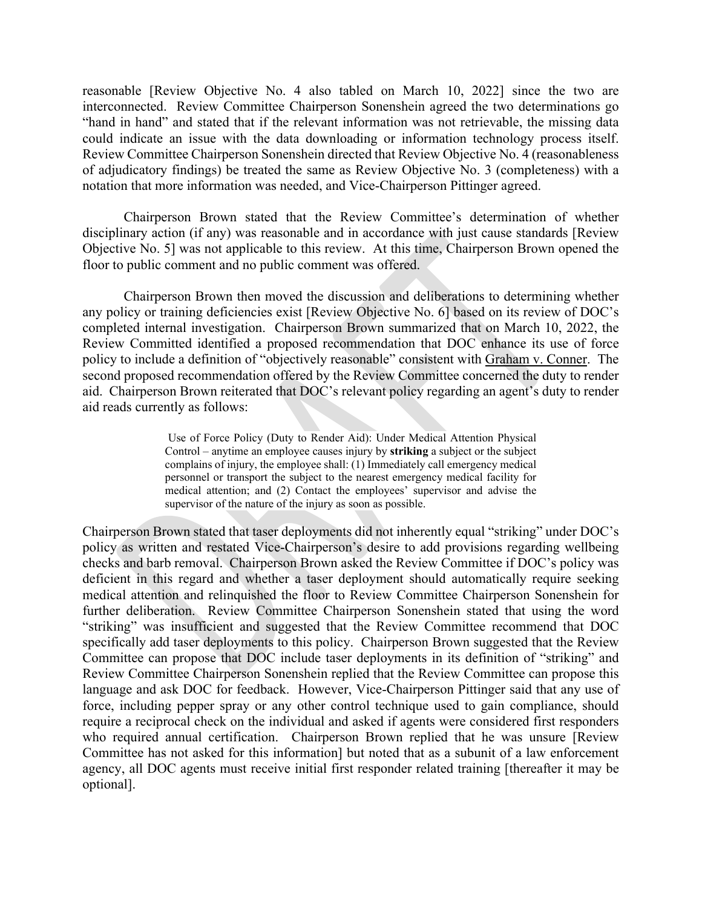reasonable [Review Objective No. 4 also tabled on March 10, 2022] since the two are interconnected. Review Committee Chairperson Sonenshein agreed the two determinations go "hand in hand" and stated that if the relevant information was not retrievable, the missing data could indicate an issue with the data downloading or information technology process itself. Review Committee Chairperson Sonenshein directed that Review Objective No. 4 (reasonableness of adjudicatory findings) be treated the same as Review Objective No. 3 (completeness) with a notation that more information was needed, and Vice-Chairperson Pittinger agreed.

Chairperson Brown stated that the Review Committee's determination of whether disciplinary action (if any) was reasonable and in accordance with just cause standards [Review Objective No. 5] was not applicable to this review. At this time, Chairperson Brown opened the floor to public comment and no public comment was offered.

Chairperson Brown then moved the discussion and deliberations to determining whether any policy or training deficiencies exist [Review Objective No. 6] based on its review of DOC's completed internal investigation. Chairperson Brown summarized that on March 10, 2022, the Review Committed identified a proposed recommendation that DOC enhance its use of force policy to include a definition of "objectively reasonable" consistent with Graham v. Conner. The second proposed recommendation offered by the Review Committee concerned the duty to render aid. Chairperson Brown reiterated that DOC's relevant policy regarding an agent's duty to render aid reads currently as follows:

> Use of Force Policy (Duty to Render Aid): Under Medical Attention Physical Control – anytime an employee causes injury by **striking** a subject or the subject complains of injury, the employee shall: (1) Immediately call emergency medical personnel or transport the subject to the nearest emergency medical facility for medical attention; and (2) Contact the employees' supervisor and advise the supervisor of the nature of the injury as soon as possible.

Chairperson Brown stated that taser deployments did not inherently equal "striking" under DOC's policy as written and restated Vice-Chairperson's desire to add provisions regarding wellbeing checks and barb removal. Chairperson Brown asked the Review Committee if DOC's policy was deficient in this regard and whether a taser deployment should automatically require seeking medical attention and relinquished the floor to Review Committee Chairperson Sonenshein for further deliberation. Review Committee Chairperson Sonenshein stated that using the word "striking" was insufficient and suggested that the Review Committee recommend that DOC specifically add taser deployments to this policy. Chairperson Brown suggested that the Review Committee can propose that DOC include taser deployments in its definition of "striking" and Review Committee Chairperson Sonenshein replied that the Review Committee can propose this language and ask DOC for feedback. However, Vice-Chairperson Pittinger said that any use of force, including pepper spray or any other control technique used to gain compliance, should require a reciprocal check on the individual and asked if agents were considered first responders who required annual certification. Chairperson Brown replied that he was unsure [Review Committee has not asked for this information] but noted that as a subunit of a law enforcement agency, all DOC agents must receive initial first responder related training [thereafter it may be optional].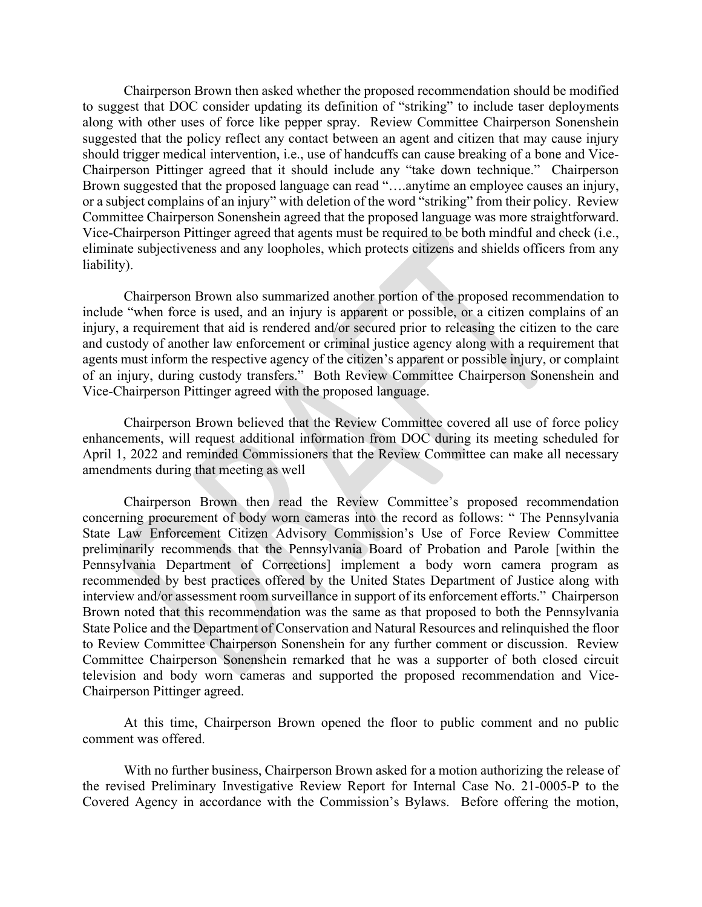Chairperson Brown then asked whether the proposed recommendation should be modified to suggest that DOC consider updating its definition of "striking" to include taser deployments along with other uses of force like pepper spray. Review Committee Chairperson Sonenshein suggested that the policy reflect any contact between an agent and citizen that may cause injury should trigger medical intervention, i.e., use of handcuffs can cause breaking of a bone and Vice-Chairperson Pittinger agreed that it should include any "take down technique." Chairperson Brown suggested that the proposed language can read "….anytime an employee causes an injury, or a subject complains of an injury" with deletion of the word "striking" from their policy. Review Committee Chairperson Sonenshein agreed that the proposed language was more straightforward. Vice-Chairperson Pittinger agreed that agents must be required to be both mindful and check (i.e., eliminate subjectiveness and any loopholes, which protects citizens and shields officers from any liability).

Chairperson Brown also summarized another portion of the proposed recommendation to include "when force is used, and an injury is apparent or possible, or a citizen complains of an injury, a requirement that aid is rendered and/or secured prior to releasing the citizen to the care and custody of another law enforcement or criminal justice agency along with a requirement that agents must inform the respective agency of the citizen's apparent or possible injury, or complaint of an injury, during custody transfers." Both Review Committee Chairperson Sonenshein and Vice-Chairperson Pittinger agreed with the proposed language.

Chairperson Brown believed that the Review Committee covered all use of force policy enhancements, will request additional information from DOC during its meeting scheduled for April 1, 2022 and reminded Commissioners that the Review Committee can make all necessary amendments during that meeting as well

Chairperson Brown then read the Review Committee's proposed recommendation concerning procurement of body worn cameras into the record as follows: " The Pennsylvania State Law Enforcement Citizen Advisory Commission's Use of Force Review Committee preliminarily recommends that the Pennsylvania Board of Probation and Parole [within the Pennsylvania Department of Corrections] implement a body worn camera program as recommended by best practices offered by the United States Department of Justice along with interview and/or assessment room surveillance in support of its enforcement efforts." Chairperson Brown noted that this recommendation was the same as that proposed to both the Pennsylvania State Police and the Department of Conservation and Natural Resources and relinquished the floor to Review Committee Chairperson Sonenshein for any further comment or discussion. Review Committee Chairperson Sonenshein remarked that he was a supporter of both closed circuit television and body worn cameras and supported the proposed recommendation and Vice-Chairperson Pittinger agreed.

At this time, Chairperson Brown opened the floor to public comment and no public comment was offered.

With no further business, Chairperson Brown asked for a motion authorizing the release of the revised Preliminary Investigative Review Report for Internal Case No. 21-0005-P to the Covered Agency in accordance with the Commission's Bylaws. Before offering the motion,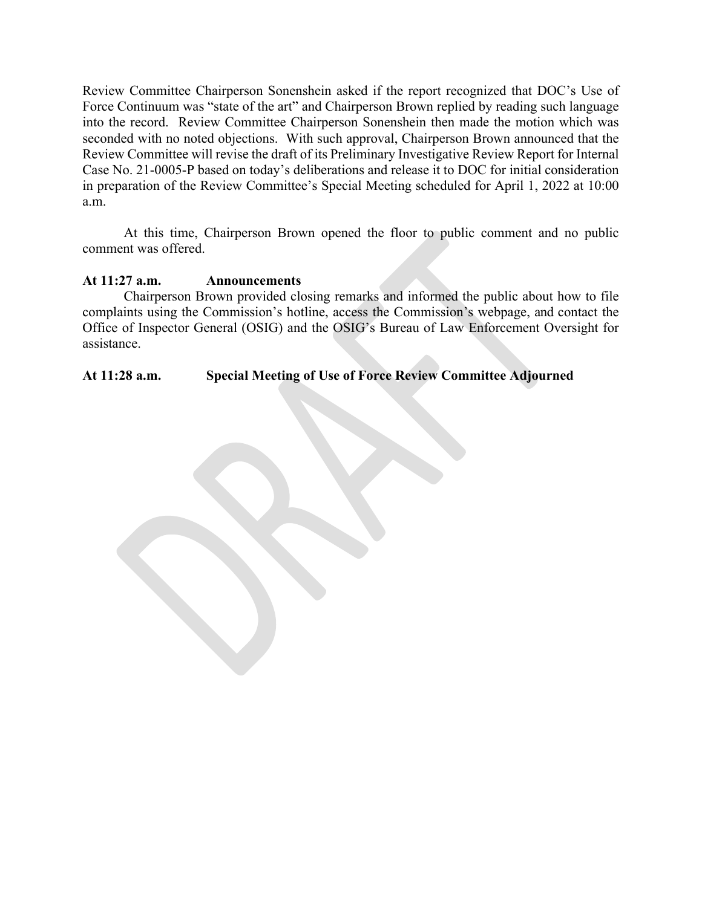Review Committee Chairperson Sonenshein asked if the report recognized that DOC's Use of Force Continuum was "state of the art" and Chairperson Brown replied by reading such language into the record. Review Committee Chairperson Sonenshein then made the motion which was seconded with no noted objections. With such approval, Chairperson Brown announced that the Review Committee will revise the draft of its Preliminary Investigative Review Report for Internal Case No. 21-0005-P based on today's deliberations and release it to DOC for initial consideration in preparation of the Review Committee's Special Meeting scheduled for April 1, 2022 at 10:00 a.m.

At this time, Chairperson Brown opened the floor to public comment and no public comment was offered.

#### **At 11:27 a.m. Announcements**

Chairperson Brown provided closing remarks and informed the public about how to file complaints using the Commission's hotline, access the Commission's webpage, and contact the Office of Inspector General (OSIG) and the OSIG's Bureau of Law Enforcement Oversight for assistance.

# **At 11:28 a.m. Special Meeting of Use of Force Review Committee Adjourned**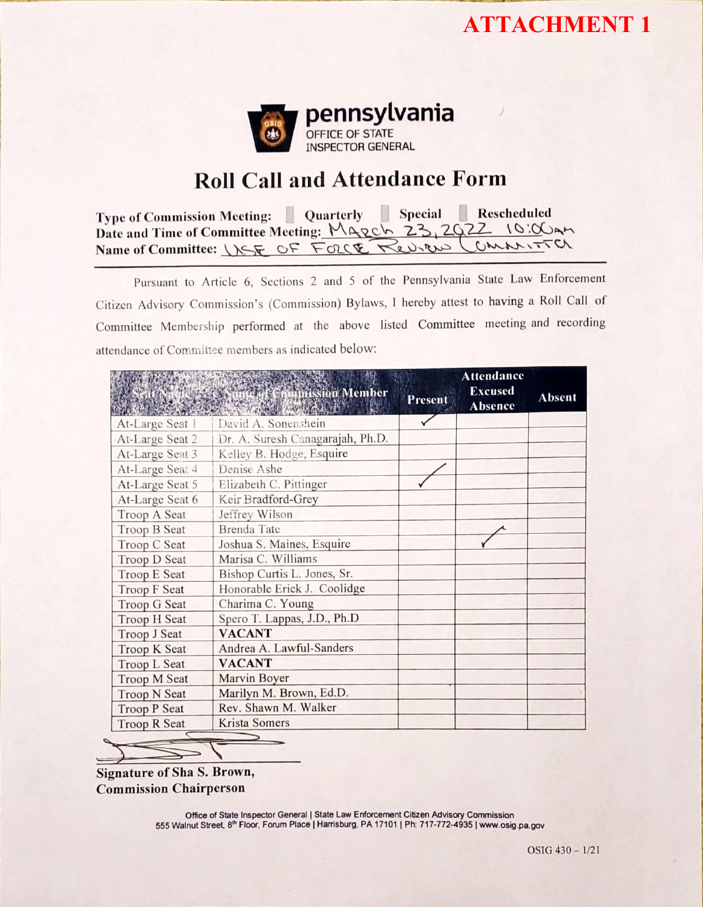# **ATTACHMENT 1**



# Roll Call and Attendance Form

Type of Comrnission Meeting: Quarterly Special Rescheduled Date and Time of Committee Meeting: MARCH 23, 2022 10:00AM Name of Committee: USE OF FORCE Review

Pursuant to Article 6, Sections 2 and 5 of the Pennsylvania State Law Enforcement Citizen Advisory Commission's (Commission) Bylaws, I hereby attest to having a Roll Call of Committee Membership performed at the above listed Committee meeting and recording attendance of Committee members as indicated below:

|                     | <b>Chamission Member</b>         | Present | <b>Attendance</b><br><b>Excused</b><br><b>Absence</b> | <b>Absent</b> |
|---------------------|----------------------------------|---------|-------------------------------------------------------|---------------|
| At-Large Seat 1     | David A. Sonenshein              |         |                                                       |               |
| At-Large Seat 2     | Dr. A. Suresh Canagarajah, Ph.D. |         |                                                       |               |
| At-Large Seat 3     | Kelley B. Hodge, Esquire         |         |                                                       |               |
| At-Large Seat 4     | Denise Ashe                      |         |                                                       |               |
| At-Large Seat 5     | Elizabeth C. Pittinger           |         |                                                       |               |
| At-Large Seat 6     | Keir Bradford-Grey               |         |                                                       |               |
| Troop A Seat        | Jeffrey Wilson                   |         |                                                       |               |
| Troop B Seat        | <b>Brenda</b> Tate               |         |                                                       |               |
| Troop C Seat        | Joshua S. Maines, Esquire        |         |                                                       |               |
| Troop D Seat        | Marisa C. Williams               |         |                                                       |               |
| <b>Troop E Seat</b> | Bishop Curtis L. Jones, Sr.      |         |                                                       |               |
| Troop F Seat        | Honorable Erick J. Coolidge      |         |                                                       |               |
| Troop G Seat        | Charima C. Young                 |         |                                                       |               |
| Troop H Seat        | Spero T. Lappas, J.D., Ph.D      |         |                                                       |               |
| Troop J Seat        | <b>VACANT</b>                    |         |                                                       |               |
| Troop K Seat        | Andrea A. Lawful-Sanders         |         |                                                       |               |
| Troop L Seat        | <b>VACANT</b>                    |         |                                                       |               |
| Troop M Seat        | Marvin Boyer                     |         |                                                       |               |
| <b>Troop N Seat</b> | Marilyn M. Brown, Ed.D.          |         |                                                       |               |
| <b>Troop P Seat</b> | Rev. Shawn M. Walker             |         |                                                       |               |
| <b>Troop R Seat</b> | Krista Somers                    |         |                                                       |               |

Signature of Sha S. Brown, Commission Chairperson

> Office of State Inspector General | State Law Enforcement Citizen Advisory Commission 555 Walnut Street, 8<sup>th</sup> Floor, Forum Place | Harrisburg, PA 17101 | Ph: 717-772-4935 | www.osig.pa.gov